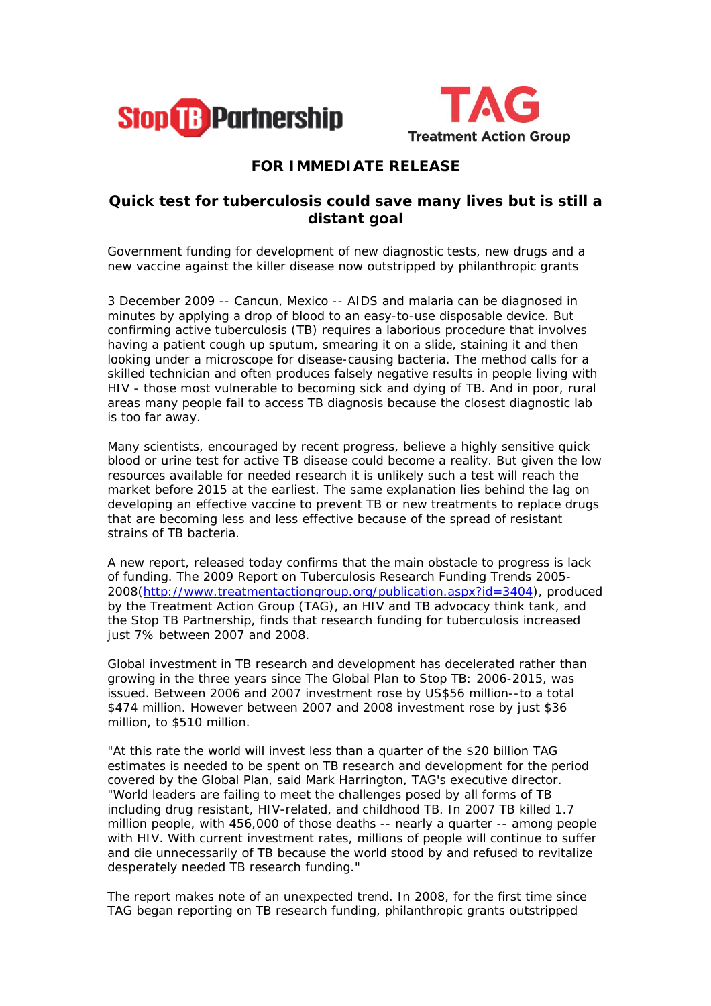



## **FOR IMMEDIATE RELEASE**

## **Quick test for tuberculosis could save many lives but is still a distant goal**

*Government funding for development of new diagnostic tests, new drugs and a new vaccine against the killer disease now outstripped by philanthropic grants*

3 December 2009 -- Cancun, Mexico -- AIDS and malaria can be diagnosed in minutes by applying a drop of blood to an easy-to-use disposable device. But confirming active tuberculosis (TB) requires a laborious procedure that involves having a patient cough up sputum, smearing it on a slide, staining it and then looking under a microscope for disease-causing bacteria. The method calls for a skilled technician and often produces falsely negative results in people living with HIV - those most vulnerable to becoming sick and dying of TB. And in poor, rural areas many people fail to access TB diagnosis because the closest diagnostic lab is too far away.

Many scientists, encouraged by recent progress, believe a highly sensitive quick blood or urine test for active TB disease could become a reality. But given the low resources available for needed research it is unlikely such a test will reach the market before 2015 at the earliest. The same explanation lies behind the lag on developing an effective vaccine to prevent TB or new treatments to replace drugs that are becoming less and less effective because of the spread of resistant strains of TB bacteria.

A new report, released today confirms that the main obstacle to progress is lack of funding. The *2009 Report on Tuberculosis Research Funding Trends 2005- 2008*(*[http://www.treatmentactiongroup.org/publication.aspx?id=3404\)](http://www.treatmentactiongroup.org/publication.aspx?id=3404)*, produced by the Treatment Action Group (TAG), an HIV and TB advocacy think tank, and the Stop TB Partnership, finds that research funding for tuberculosis increased just 7% between 2007 and 2008.

Global investment in TB research and development has decelerated rather than growing in the three years since The Global Plan to Stop TB: 2006-2015, was issued. Between 2006 and 2007 investment rose by US\$56 million--to a total \$474 million. However between 2007 and 2008 investment rose by just \$36 million, to \$510 million.

"At this rate the world will invest less than a quarter of the \$20 billion TAG estimates is needed to be spent on TB research and development for the period covered by the Global Plan, said Mark Harrington, TAG's executive director. "World leaders are failing to meet the challenges posed by all forms of TB including drug resistant, HIV-related, and childhood TB. In 2007 TB killed 1.7 million people, with 456,000 of those deaths -- nearly a quarter -- among people with HIV. With current investment rates, millions of people will continue to suffer and die unnecessarily of TB because the world stood by and refused to revitalize desperately needed TB research funding."

The report makes note of an unexpected trend. In 2008, for the first time since TAG began reporting on TB research funding, philanthropic grants outstripped